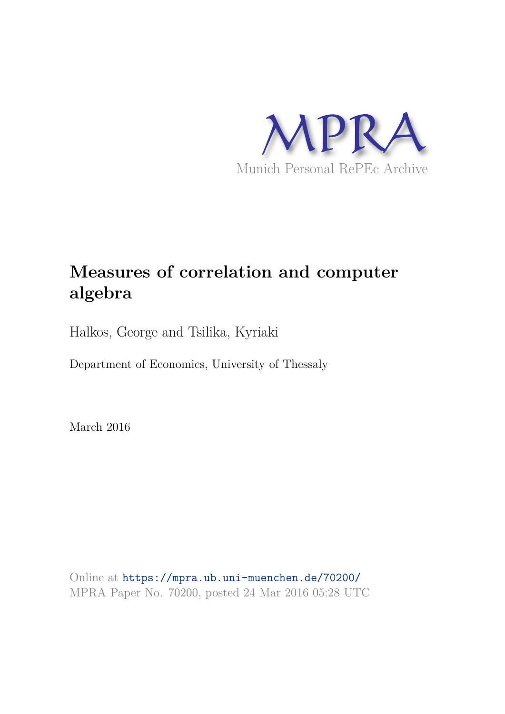

# **Measures of correlation and computer algebra**

Halkos, George and Tsilika, Kyriaki

Department of Economics, University of Thessaly

March 2016

Online at https://mpra.ub.uni-muenchen.de/70200/ MPRA Paper No. 70200, posted 24 Mar 2016 05:28 UTC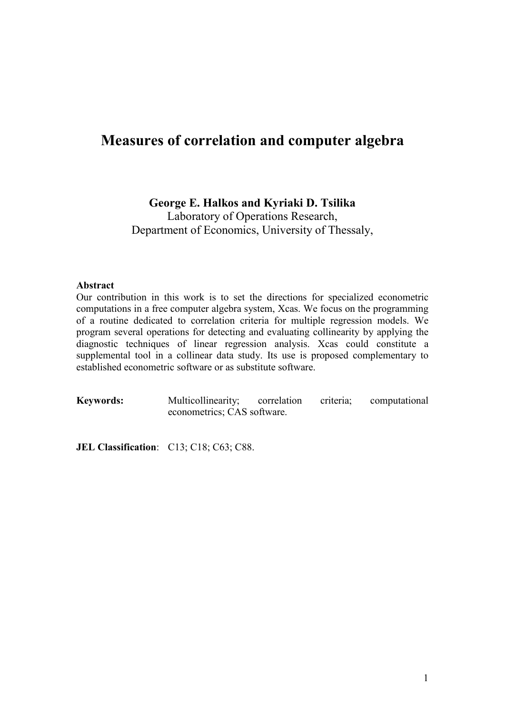## Measures of correlation and computer algebra

## George E. Halkos and Kyriaki D. Tsilika

Laboratory of Operations Research, Department of Economics, University of Thessaly,

## **Abstract**

Our contribution in this work is to set the directions for specialized econometric computations in a free computer algebra system, Xcas. We focus on the programming of a routine dedicated to correlation criteria for multiple regression models. We program several operations for detecting and evaluating collinearity by applying the diagnostic techniques of linear regression analysis. Xcas could constitute a supplemental tool in a collinear data study. Its use is proposed complementary to established econometric software or as substitute software.

**Keywords:** Multicollinearity; correlation criteria; computational econometrics; CAS software.

JEL Classification: C13; C18; C63; C88.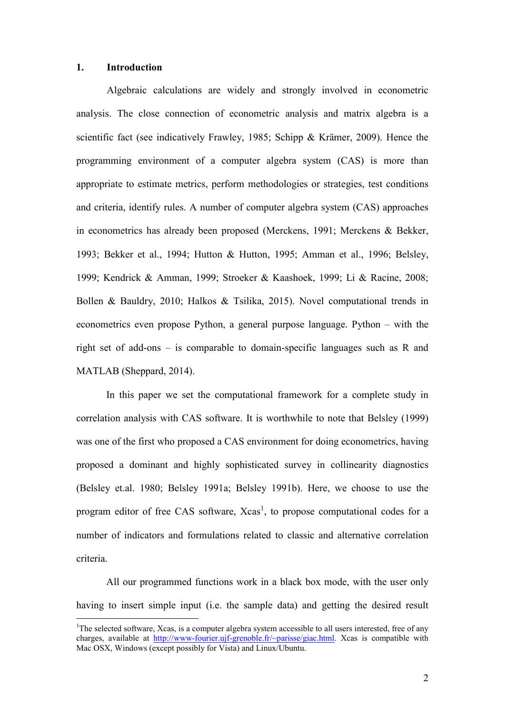#### $1<sub>1</sub>$ **Introduction**

Algebraic calculations are widely and strongly involved in econometric analysis. The close connection of econometric analysis and matrix algebra is a scientific fact (see indicatively Frawley, 1985; Schipp & Krämer, 2009). Hence the programming environment of a computer algebra system (CAS) is more than appropriate to estimate metrics, perform methodologies or strategies, test conditions and criteria, identify rules. A number of computer algebra system (CAS) approaches in econometrics has already been proposed (Merckens, 1991; Merckens & Bekker, 1993; Bekker et al., 1994; Hutton & Hutton, 1995; Amman et al., 1996; Belsley, 1999; Kendrick & Amman, 1999; Stroeker & Kaashoek, 1999; Li & Racine, 2008; Bollen & Bauldry, 2010; Halkos & Tsilika, 2015). Novel computational trends in econometrics even propose Python, a general purpose language. Python  $-$  with the right set of add-ons  $-$  is comparable to domain-specific languages such as R and MATLAB (Sheppard, 2014).

In this paper we set the computational framework for a complete study in correlation analysis with CAS software. It is worthwhile to note that Belsley (1999) was one of the first who proposed a CAS environment for doing econometrics, having proposed a dominant and highly sophisticated survey in collinearity diagnostics (Belsley et.al. 1980; Belsley 1991a; Belsley 1991b). Here, we choose to use the program editor of free CAS software, Xcas<sup>1</sup>, to propose computational codes for a number of indicators and formulations related to classic and alternative correlation criteria.

All our programmed functions work in a black box mode, with the user only having to insert simple input (i.e. the sample data) and getting the desired result

<sup>&</sup>lt;sup>1</sup>The selected software, Xcas, is a computer algebra system accessible to all users interested. free of any charges, available at http://www-fourier.uif-grenoble.fr/ $\sim$ parisse/giac.html. Xcas is compatible with Mac OSX, Windows (except possibly for Vista) and Linux/Ubuntu.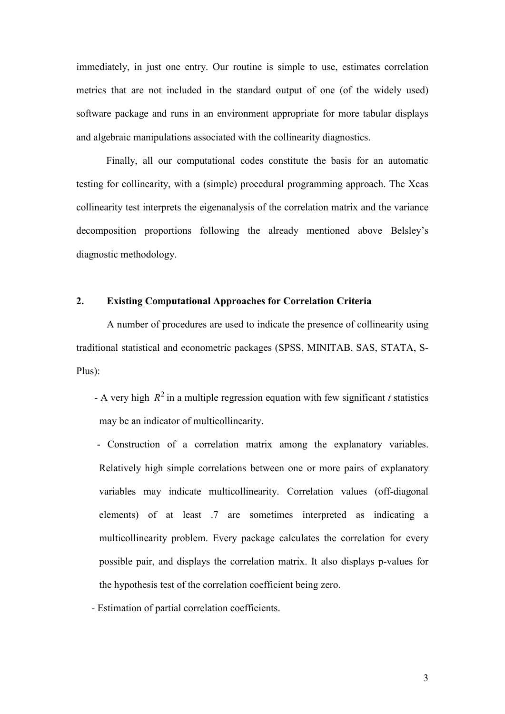immediately, in just one entry. Our routine is simple to use, estimates correlation metrics that are not included in the standard output of one (of the widely used) software package and runs in an environment appropriate for more tabular displays and algebraic manipulations associated with the collinearity diagnostics.

Finally, all our computational codes constitute the basis for an automatic testing for collinearity, with a (simple) procedural programming approach. The Xcas collinearity test interprets the eigenanalysis of the correlation matrix and the variance decomposition proportions following the already mentioned above Belsley's diagnostic methodology.

#### $2.$ **Existing Computational Approaches for Correlation Criteria**

A number of procedures are used to indicate the presence of collinearity using traditional statistical and econometric packages (SPSS, MINITAB, SAS, STATA, S- $Plus):$ 

- A very high  $R^2$  in a multiple regression equation with few significant t statistics may be an indicator of multicollinearity.

- Construction of a correlation matrix among the explanatory variables. Relatively high simple correlations between one or more pairs of explanatory variables may indicate multicollinearity. Correlation values (off-diagonal elements) of at least 7 are sometimes interpreted as indicating a multicollinearity problem. Every package calculates the correlation for every possible pair, and displays the correlation matrix. It also displays p-values for the hypothesis test of the correlation coefficient being zero.

- Estimation of partial correlation coefficients.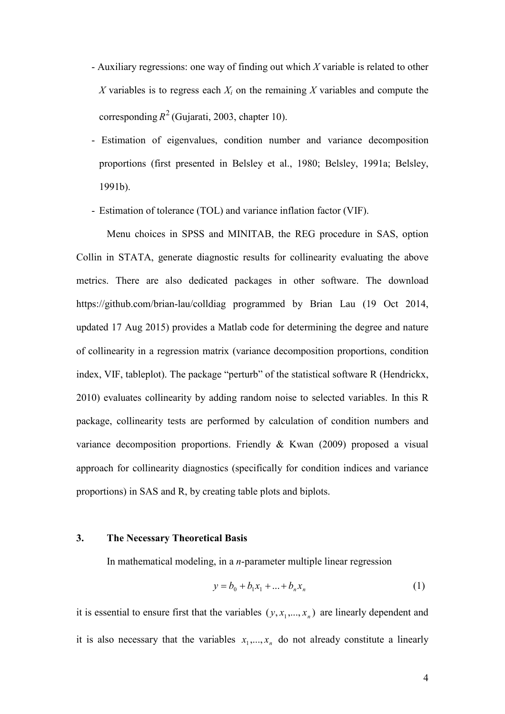- Auxiliary regressions: one way of finding out which  $X$  variable is related to other X variables is to regress each  $X_i$  on the remaining X variables and compute the corresponding  $R^2$  (Gujarati, 2003, chapter 10).
- Estimation of eigenvalues, condition number and variance decomposition proportions (first presented in Belsley et al., 1980; Belsley, 1991a; Belsley, 1991b).
- Estimation of tolerance (TOL) and variance inflation factor (VIF).

Menu choices in SPSS and MINITAB, the REG procedure in SAS, option Collin in STATA, generate diagnostic results for collinearity evaluating the above metrics. There are also dedicated packages in other software. The download https://github.com/brian-lau/colldiag\_programmed\_by\_Brian\_Lau\_(19\_Oct\_2014, updated 17 Aug 2015) provides a Matlab code for determining the degree and nature of collinearity in a regression matrix (variance decomposition proportions, condition index, VIF, tableplot). The package "perturb" of the statistical software R (Hendrickx, 2010) evaluates collinearity by adding random noise to selected variables. In this R package, collinearity tests are performed by calculation of condition numbers and variance decomposition proportions. Friendly  $& Kwan$  (2009) proposed a visual approach for collinearity diagnostics (specifically for condition indices and variance proportions) in SAS and R, by creating table plots and biplots.

#### **The Necessary Theoretical Basis**  $3.$

In mathematical modeling, in a *n*-parameter multiple linear regression

$$
y = b_0 + b_1 x_1 + \dots + b_n x_n \tag{1}
$$

it is essential to ensure first that the variables  $(y, x_1,...,x_n)$  are linearly dependent and it is also necessary that the variables  $x_1, ..., x_n$  do not already constitute a linearly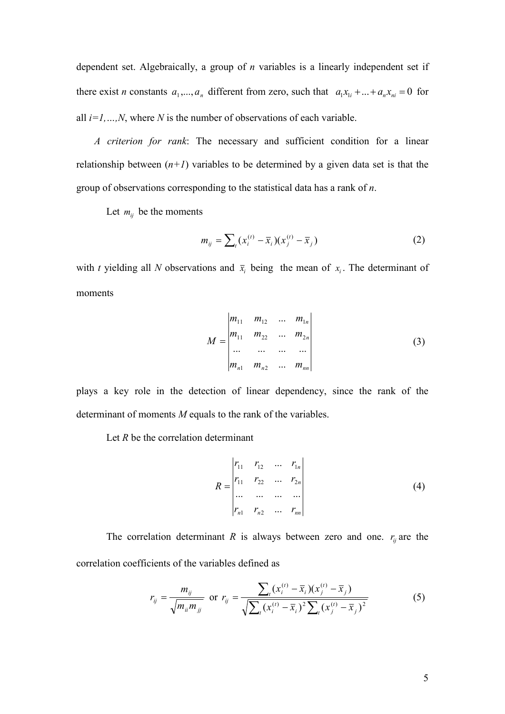dependent set. Algebraically, a group of  $n$  variables is a linearly independent set if there exist *n* constants  $a_1,...,a_n$  different from zero, such that  $a_1x_{1i} + ... + a_nx_{ni} = 0$  for all  $i=1,...,N$ , where N is the number of observations of each variable.

A criterion for rank: The necessary and sufficient condition for a linear relationship between  $(n+1)$  variables to be determined by a given data set is that the group of observations corresponding to the statistical data has a rank of  $n$ .

Let  $m_{ij}$  be the moments

$$
m_{ij} = \sum_{t} (x_i^{(t)} - \bar{x}_i)(x_j^{(t)} - \bar{x}_j)
$$
 (2)

with t yielding all N observations and  $\bar{x}_i$  being the mean of  $x_i$ . The determinant of moments

$$
M = \begin{vmatrix} m_{11} & m_{12} & \dots & m_{1n} \\ m_{11} & m_{22} & \dots & m_{2n} \\ \dots & \dots & \dots & \dots \\ m_{n1} & m_{n2} & \dots & m_{nn} \end{vmatrix}
$$
 (3)

plays a key role in the detection of linear dependency, since the rank of the determinant of moments  $M$  equals to the rank of the variables.

Let  $R$  be the correlation determinant

$$
R = \begin{vmatrix} r_{11} & r_{12} & \dots & r_{1n} \\ r_{11} & r_{22} & \dots & r_{2n} \\ \dots & \dots & \dots & \dots \\ r_{n1} & r_{n2} & \dots & r_{nn} \end{vmatrix}
$$
 (4)

The correlation determinant R is always between zero and one.  $r_{ij}$  are the correlation coefficients of the variables defined as

$$
r_{ij} = \frac{m_{ij}}{\sqrt{m_{ii}m_{jj}}}
$$
 or  $r_{ij} = \frac{\sum_{i}(x_i^{(t)} - \bar{x}_i)(x_j^{(t)} - \bar{x}_j)}{\sqrt{\sum_{i}(x_i^{(t)} - \bar{x}_i)^2 \sum_{i}(x_j^{(t)} - \bar{x}_j)^2}}$  (5)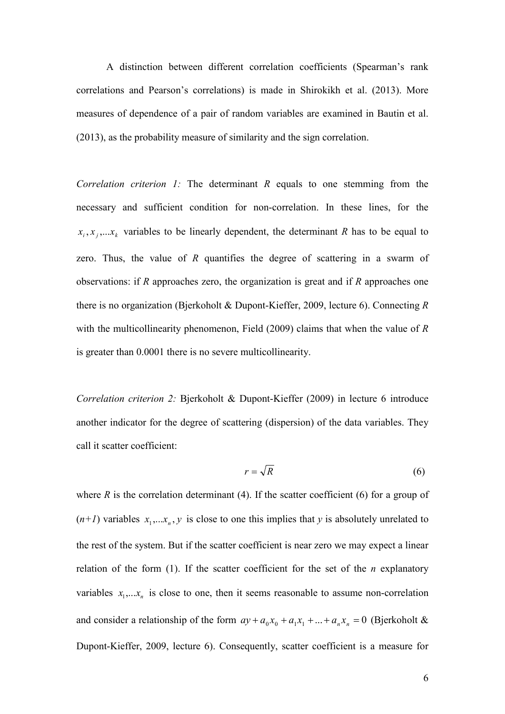A distinction between different correlation coefficients (Spearman's rank correlations and Pearson's correlations) is made in Shirokikh et al. (2013). More measures of dependence of a pair of random variables are examined in Bautin et al. (2013), as the probability measure of similarity and the sign correlation.

Correlation criterion 1: The determinant  $R$  equals to one stemming from the necessary and sufficient condition for non-correlation. In these lines, for the  $x_i, x_j, \ldots x_k$  variables to be linearly dependent, the determinant R has to be equal to zero. Thus, the value of  $R$  quantifies the degree of scattering in a swarm of observations: if  $R$  approaches zero, the organization is great and if  $R$  approaches one there is no organization (Bjerkoholt & Dupont-Kieffer, 2009, lecture 6). Connecting  $R$ with the multicollinearity phenomenon, Field  $(2009)$  claims that when the value of R is greater than 0.0001 there is no severe multicollinearity.

Correlation criterion 2: Bjerkoholt & Dupont-Kieffer (2009) in lecture 6 introduce another indicator for the degree of scattering (dispersion) of the data variables. They call it scatter coefficient:

$$
r = \sqrt{R} \tag{6}
$$

where  $R$  is the correlation determinant (4). If the scatter coefficient (6) for a group of  $(n+1)$  variables  $x_1,...x_n, y$  is close to one this implies that y is absolutely unrelated to the rest of the system. But if the scatter coefficient is near zero we may expect a linear relation of the form  $(1)$ . If the scatter coefficient for the set of the *n* explanatory variables  $x_1,...x_n$  is close to one, then it seems reasonable to assume non-correlation and consider a relationship of the form  $ay + a_0x_0 + a_1x_1 + ... + a_nx_n = 0$  (Bjerkoholt & Dupont-Kieffer, 2009, lecture 6). Consequently, scatter coefficient is a measure for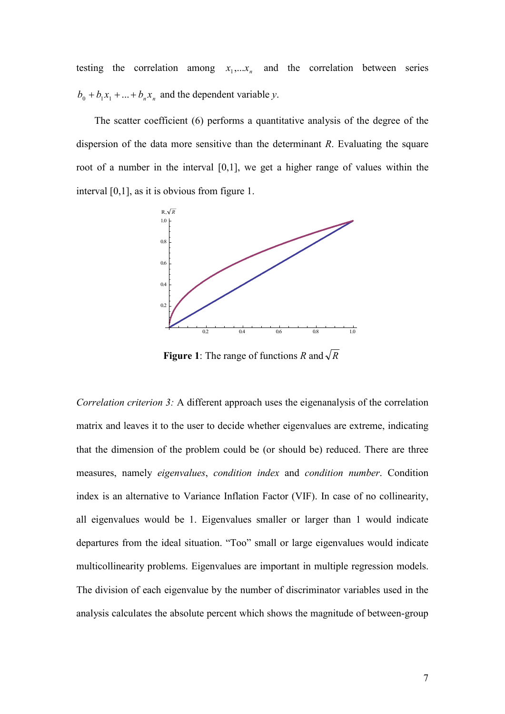testing the correlation among  $x_1,...x_n$  and the correlation between series  $b_0 + b_1 x_1 + ... + b_n x_n$  and the dependent variable y.

The scatter coefficient (6) performs a quantitative analysis of the degree of the dispersion of the data more sensitive than the determinant  $R$ . Evaluating the square root of a number in the interval  $[0,1]$ , we get a higher range of values within the interval  $[0,1]$ , as it is obvious from figure 1.



**Figure 1:** The range of functions R and  $\sqrt{R}$ 

Correlation criterion 3: A different approach uses the eigenanalysis of the correlation matrix and leaves it to the user to decide whether eigenvalues are extreme, indicating that the dimension of the problem could be (or should be) reduced. There are three measures, namely *eigenvalues*, *condition index* and *condition number*. Condition index is an alternative to Variance Inflation Factor (VIF). In case of no collinearity, all eigenvalues would be 1. Eigenvalues smaller or larger than 1 would indicate departures from the ideal situation. "Too" small or large eigenvalues would indicate multicollinearity problems. Eigenvalues are important in multiple regression models. The division of each eigenvalue by the number of discriminator variables used in the analysis calculates the absolute percent which shows the magnitude of between-group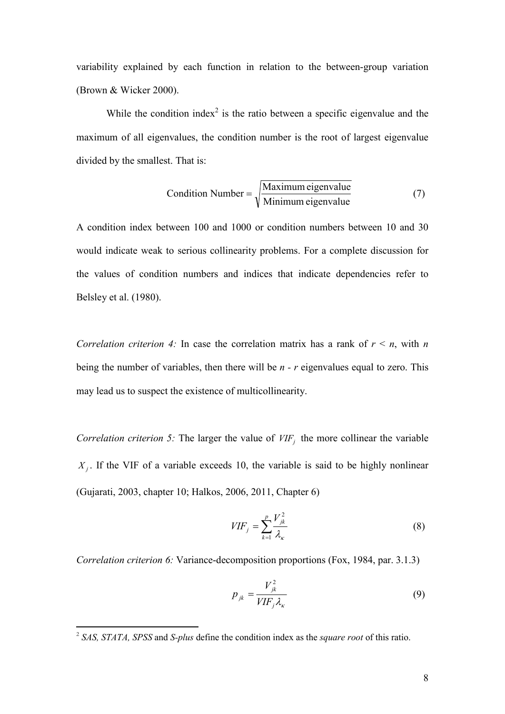variability explained by each function in relation to the between-group variation (Brown & Wicker 2000).

While the condition index<sup>2</sup> is the ratio between a specific eigenvalue and the maximum of all eigenvalues, the condition number is the root of largest eigenvalue divided by the smallest. That is:

Condition Number = 
$$
\sqrt{\frac{\text{Maximum eigenvalue}}{\text{Minimum eigenvalue}}}
$$
 (7)

A condition index between 100 and 1000 or condition numbers between 10 and 30 would indicate weak to serious collinearity problems. For a complete discussion for the values of condition numbers and indices that indicate dependencies refer to Belsley et al. (1980).

Correlation criterion 4: In case the correlation matrix has a rank of  $r \le n$ , with n being the number of variables, then there will be  $n - r$  eigenvalues equal to zero. This may lead us to suspect the existence of multicollinearity.

Correlation criterion 5: The larger the value of  $VIF<sub>i</sub>$  the more collinear the variable  $X_j$ . If the VIF of a variable exceeds 10, the variable is said to be highly nonlinear (Gujarati, 2003, chapter 10; Halkos, 2006, 2011, Chapter 6)

$$
VIF_j = \sum_{k=1}^{p} \frac{V_{jk}^2}{\lambda_k} \tag{8}
$$

Correlation criterion 6: Variance-decomposition proportions (Fox, 1984, par. 3.1.3)

$$
p_{jk} = \frac{V_{jk}^2}{VIF_j \lambda_{\kappa}}
$$
 (9)

 $2$  SAS, STATA, SPSS and S-plus define the condition index as the square root of this ratio.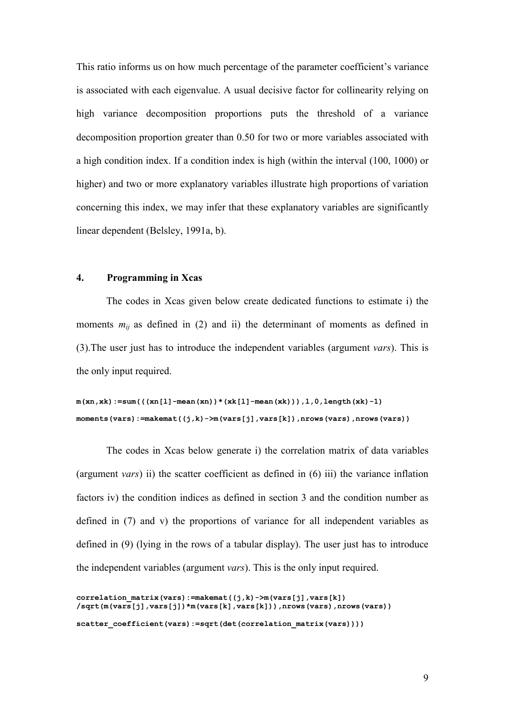This ratio informs us on how much percentage of the parameter coefficient's variance is associated with each eigenvalue. A usual decisive factor for collinearity relying on high variance decomposition proportions puts the threshold of a variance decomposition proportion greater than 0.50 for two or more variables associated with a high condition index. If a condition index is high (within the interval (100, 1000) or higher) and two or more explanatory variables illustrate high proportions of variation concerning this index, we may infer that these explanatory variables are significantly linear dependent (Belsley, 1991a, b).

#### $\overline{4}$ . **Programming in Xcas**

The codes in Xcas given below create dedicated functions to estimate i) the moments  $m_{ij}$  as defined in (2) and ii) the determinant of moments as defined in  $(3)$ . The user just has to introduce the independent variables (argument vars). This is the only input required.

```
m(xn, xk) := sum((xn[1]-mean(xn)) * (xk[1]-mean(xk))), 1, 0, length(xk)-1)moments (vars):=makemat((j, k)-\geqm(vars[j], vars[k]), nrows (vars), nrows (vars))
```
The codes in Xcas below generate i) the correlation matrix of data variables (argument *vars*) ii) the scatter coefficient as defined in  $(6)$  iii) the variance inflation factors iv) the condition indices as defined in section 3 and the condition number as defined in  $(7)$  and v) the proportions of variance for all independent variables as defined in (9) (lying in the rows of a tabular display). The user just has to introduce the independent variables (argument vars). This is the only input required.

```
correlation matrix (vars) := makemat ((j,k) ->m (vars [j], vars [k])
/sqrt(m(vars[j],vars[j])*m(vars[k],vars[k])),nrows(vars),nrows(vars))
scatter coefficient(vars):=sqrt(det(correlation matrix(vars))))
```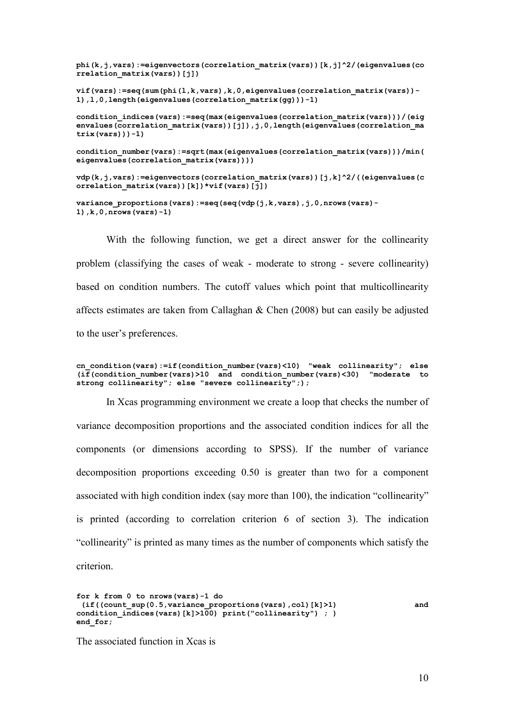```
phi(k,j, vars):=eigenvectors(correlation matrix(vars))[k,j]^2/(eigenvalues(co
rrelation matrix(vars))[j])
\mathbf{v}if (vars):=seq(sum(phi(l,k,vars),k,0,eigenvalues(correlation matrix(vars))-
1), 1, 0, length (eigenvalues (correlation matrix (qq)))-1)
condition indices (vars) := seq (max (eigenvalues (correlation matrix (vars))) / (eig
envalues (correlation matrix (vars) ) [j] ) , j, 0, length (eigenvalues (correlation ma
trix (vars))) -1)
condition number (vars) := sqrt (max (eigenvalues (correlation matrix (vars))) /min (
eigenvalues(correlation_matrix(vars))))
vdp(k,j, vars):=eigenvectors(correlation matrix(vars))[j,k]^2/((eigenvalues(c
orrelation matrix(vars))[k])*vif(vars)[j])
```
variance proportions (vars) := seq (seq (vdp  $(j, k, \text{vars})$ ,  $j, 0, \text{arows}$  (vars) -1),  $k, 0, nrows (vars) - 1)$ 

With the following function, we get a direct answer for the collinearity problem (classifying the cases of weak - moderate to strong - severe collinearity) based on condition numbers. The cutoff values which point that multicollinearity affects estimates are taken from Callaghan & Chen (2008) but can easily be adjusted to the user's preferences.

cn condition (vars) := if (condition number (vars) <10) "weak collinearity"; else  $(i\overline{f}$  (condition number (vars) >10 and condition number (vars) <30) "moderate to strong collinearity"; else "severe collinearity";);

In Xcas programming environment we create a loop that checks the number of variance decomposition proportions and the associated condition indices for all the components (or dimensions according to SPSS). If the number of variance decomposition proportions exceeding  $0.50$  is greater than two for a component associated with high condition index (say more than 100), the indication "collinearity" is printed (according to correlation criterion 6 of section 3). The indication "collinearity" is printed as many times as the number of components which satisfy the criterion

```
for k from 0 to nrows (vars) -1 do
 (if((count sup(0.5, variance proportions(vars), col)[k]>1)
                                                                               and
condition indices (vars) [k] > 100) print ("collinearity"); )
end for;
```
The associated function in Xcas is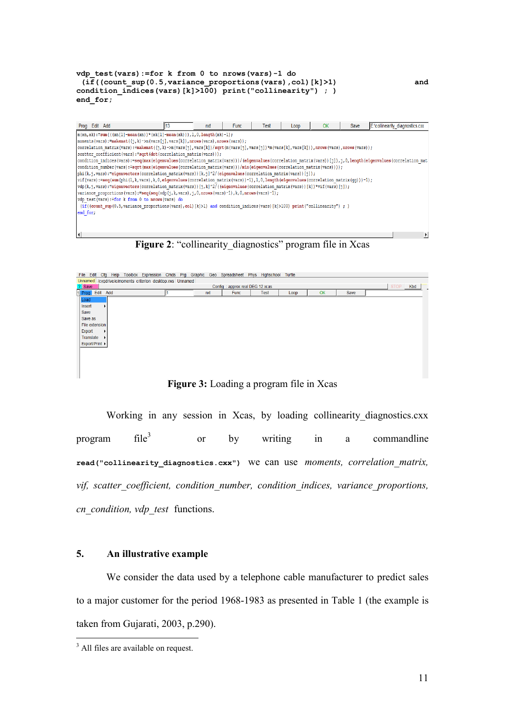| vdp test(vars):=for k from $0$ to nrows(vars)-1 do<br>$(if((count sup(0.5, variance proportions(vars), col)[k])1)$<br>condition indices (vars) $[k] > 100$ ) print ("collinearity"); )<br>end for;                                                                                                                                                                                                                                                                                                                                                                                                                                                                                                                                                                                                                                                                                                                                                                                                                                                                                                                                                                                                                                                                                                                                                                                                         |      |     |             |      |      |    |      | and                             |
|------------------------------------------------------------------------------------------------------------------------------------------------------------------------------------------------------------------------------------------------------------------------------------------------------------------------------------------------------------------------------------------------------------------------------------------------------------------------------------------------------------------------------------------------------------------------------------------------------------------------------------------------------------------------------------------------------------------------------------------------------------------------------------------------------------------------------------------------------------------------------------------------------------------------------------------------------------------------------------------------------------------------------------------------------------------------------------------------------------------------------------------------------------------------------------------------------------------------------------------------------------------------------------------------------------------------------------------------------------------------------------------------------------|------|-----|-------------|------|------|----|------|---------------------------------|
| Prog Edit Add                                                                                                                                                                                                                                                                                                                                                                                                                                                                                                                                                                                                                                                                                                                                                                                                                                                                                                                                                                                                                                                                                                                                                                                                                                                                                                                                                                                              | ll13 | nxt | <b>Func</b> | Test | Loop | OK | Save | E:\collinearity diagnostics.cxx |
| $m(xn, xk)$ :=sum(((xn[1]-mean(xn))*(xk[1]-mean(xk))),1,0,1ength(xk)-1);<br>moments (vars):=makemat( $(j, k)$ ->m(vars[j], vars[k]), nrows (vars), nrows (vars));<br>correlation matrix(vars):=makemat((j,k)->m(vars[j],vars[k])/sqrt(m(vars[j],vars[j])*m(vars[k],vars[k])),nrows(vars),nrows(vars));<br>scatter coefficient (vars) := sqrt (det (correlation matrix (vars)));<br>condition indices (vars):=seq (max (eigenvalues (correlation matrix (vars)))/(eigenvalues (correlation matrix (vars))[j]),j,0,length(eigenvalues (correlation mat<br>condition number (vars) := sqrt (max (eigenvalues (correlation matrix (vars))) /min (eigenvalues (correlation matrix (vars))));<br>phi(k,j, vars):=eigenvectors(correlation matrix(vars))[k,j]^2/(eigenvalues(correlation matrix(vars))[j]);<br>$vif(vars):=seq(sum(phi(l,k,vars),k,0, eigenvalues(correlation matrix(vars))-1),l,0, length(eigenvalues(correlation matrix(qq)))-1);$<br>$\forall$ dp(k,j,vars):=eigenvectors(correlation matrix(vars))[j,k]^2/((eigenvalues(correlation matrix(vars))[k])*vif(vars)[j]);<br>variance proportions (vars): = seq (seq (vdp $(j, k, \text{vars})$ , j, 0, nrows (vars) -1), $k, 0$ , nrows (vars) -1);<br>vdp test(vars):=for k from 0 to nrows(vars) do<br>(if((count sup(0.5, variance proportions(vars), col)[k]>1) and condition indices(vars)[k]>100) print("collinearity");)<br>end for;<br>I۰ |      |     |             |      |      |    |      | ≛                               |

Figure 2: "collinearity diagnostics" program file in Xcas

| File Edit      |                       |                                                           |  |     | Cfg Help Toolbox Expression Cmds Prg Graphic Geo Spreadsheet Phys Highschool Turtle |             |      |    |      |          |
|----------------|-----------------------|-----------------------------------------------------------|--|-----|-------------------------------------------------------------------------------------|-------------|------|----|------|----------|
|                |                       | Unnamed /cygdrive/e/moments criterion desktop.xws Unnamed |  |     |                                                                                     |             |      |    |      |          |
| ? Save         |                       |                                                           |  |     | Config: approx real DEG 12 xcas                                                     |             |      |    |      | STOP Kbd |
|                | 1 Prog Edit Add       |                                                           |  | nxt | Func                                                                                | <b>Test</b> | Loop | OK | Save |          |
| Load           |                       |                                                           |  |     |                                                                                     |             |      |    |      |          |
| Insert         | $\blacktriangleright$ |                                                           |  |     |                                                                                     |             |      |    |      |          |
| Save           |                       |                                                           |  |     |                                                                                     |             |      |    |      |          |
| Save as        |                       |                                                           |  |     |                                                                                     |             |      |    |      |          |
| File extension |                       |                                                           |  |     |                                                                                     |             |      |    |      |          |
| Export         | ▶                     |                                                           |  |     |                                                                                     |             |      |    |      |          |
| Translate      | ٠                     |                                                           |  |     |                                                                                     |             |      |    |      |          |
| Export/Print ▶ |                       |                                                           |  |     |                                                                                     |             |      |    |      |          |
|                |                       |                                                           |  |     |                                                                                     |             |      |    |      |          |
|                |                       |                                                           |  |     |                                                                                     |             |      |    |      |          |
|                |                       |                                                           |  |     |                                                                                     |             |      |    |      |          |
|                |                       |                                                           |  |     |                                                                                     |             |      |    |      |          |
|                |                       |                                                           |  |     |                                                                                     |             |      |    |      |          |

Figure 3: Loading a program file in Xcas

Working in any session in Xcas, by loading collinearity diagnostics.cxx  $file<sup>3</sup>$ writing program  $\alpha$ r by  $in$ a commandline read("collinearity diagnostics.cxx") We can use moments, correlation matrix, vif, scatter coefficient, condition number, condition indices, variance proportions, cn\_condition, vdp\_test functions.

#### $5.$ An illustrative example

We consider the data used by a telephone cable manufacturer to predict sales to a major customer for the period 1968-1983 as presented in Table 1 (the example is taken from Gujarati, 2003, p.290).

<sup>&</sup>lt;sup>3</sup> All files are available on request.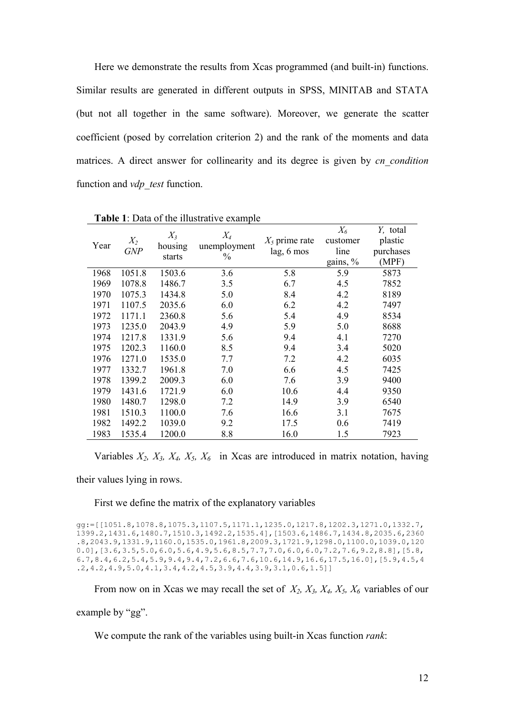Here we demonstrate the results from Xcas programmed (and built-in) functions. Similar results are generated in different outputs in SPSS, MINITAB and STATA (but not all together in the same software). Moreover, we generate the scatter coefficient (posed by correlation criterion 2) and the rank of the moments and data matrices. A direct answer for collinearity and its degree is given by *cn condition* function and *vdp* test function.

|      |            | $X_3$   | $X_4$         |                  | $X_6$    | Y, total  |
|------|------------|---------|---------------|------------------|----------|-----------|
| Year | $X_2$      | housing | unemployment  | $X_5$ prime rate | customer | plastic   |
|      | <b>GNP</b> | starts  | $\frac{0}{0}$ | lag, 6 mos       | line     | purchases |
|      |            |         |               |                  | gains, % | (MPF)     |
| 1968 | 1051.8     | 1503.6  | 3.6           | 5.8              | 5.9      | 5873      |
| 1969 | 1078.8     | 1486.7  | 3.5           | 6.7              | 4.5      | 7852      |
| 1970 | 1075.3     | 1434.8  | 5.0           | 8.4              | 4.2      | 8189      |
| 1971 | 1107.5     | 2035.6  | 6.0           | 6.2              | 4.2      | 7497      |
| 1972 | 1171.1     | 2360.8  | 5.6           | 5.4              | 4.9      | 8534      |
| 1973 | 1235.0     | 2043.9  | 4.9           | 5.9              | 5.0      | 8688      |
| 1974 | 1217.8     | 1331.9  | 5.6           | 9.4              | 4.1      | 7270      |
| 1975 | 1202.3     | 1160.0  | 8.5           | 9.4              | 3.4      | 5020      |
| 1976 | 1271.0     | 1535.0  | 7.7           | 7.2              | 4.2      | 6035      |
| 1977 | 1332.7     | 1961.8  | 7.0           | 6.6              | 4.5      | 7425      |
| 1978 | 1399.2     | 2009.3  | 6.0           | 7.6              | 3.9      | 9400      |
| 1979 | 1431.6     | 1721.9  | 6.0           | 10.6             | 4.4      | 9350      |
| 1980 | 1480.7     | 1298.0  | 7.2           | 14.9             | 3.9      | 6540      |
| 1981 | 1510.3     | 1100.0  | 7.6           | 16.6             | 3.1      | 7675      |
| 1982 | 1492.2     | 1039.0  | 9.2           | 17.5             | 0.6      | 7419      |
| 1983 | 1535.4     | 1200.0  | 8.8           | 16.0             | 1.5      | 7923      |

Table 1: Data of the illustrative example

Variables  $X_2$ ,  $X_3$ ,  $X_4$ ,  $X_5$ ,  $X_6$  in Xcas are introduced in matrix notation, having

their values lying in rows.

First we define the matrix of the explanatory variables

qq:=[[1051.8,1078.8,1075.3,1107.5,1171.1,1235.0,1217.8,1202.3,1271.0,1332.7, 1399.2, 1431.6, 1480.7, 1510.3, 1492.2, 1535.4], [1503.6, 1486.7, 1434.8, 2035.6, 2360  $.8, 2043.9, 1331.9, 1160.0, 1535.0, 1961.8, 2009.3, 1721.9, 1298.0, 1100.0, 1039.0, 120$  $0.0$ ], [3.6, 3.5, 5.0, 6.0, 5.6, 4.9, 5.6, 8.5, 7.7, 7.0, 6.0, 6.0, 7.2, 7.6, 9.2, 8.8], [5.8,  $.2, 4.2, 4.9, 5.0, 4.1, 3.4, 4.2, 4.5, 3.9, 4.4, 3.9, 3.1, 0.6, 1.5]$ 

From now on in Xcas we may recall the set of  $X_2$ ,  $X_3$ ,  $X_4$ ,  $X_5$ ,  $X_6$  variables of our example by "gg".

We compute the rank of the variables using built-in Xcas function *rank*: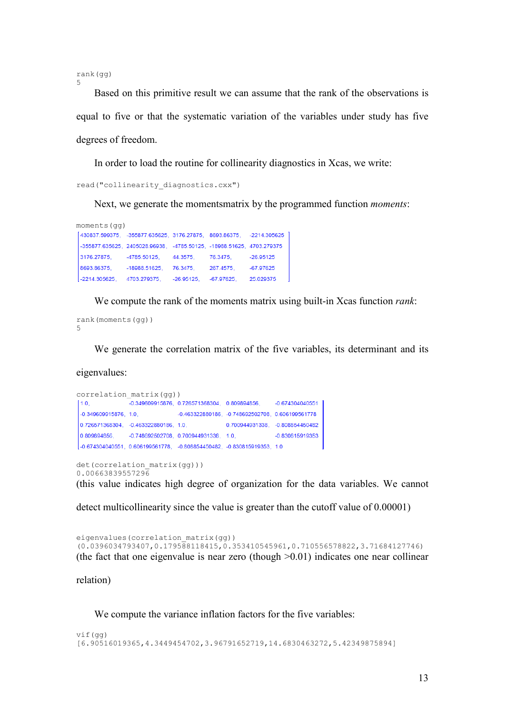$rank(qq)$  $\sqrt{2}$ 

Based on this primitive result we can assume that the rank of the observations is equal to five or that the systematic variation of the variables under study has five degrees of freedom.

In order to load the routine for collinearity diagnostics in Xcas, we write:

read ("collinearity diagnostics.cxx")

Next, we generate the moments matrix by the programmed function *moments*:

moments (qq) [430837.599375, -355877.635625, 3176.27875, 8693.86375, -2214.305625 -355877.635625, 2405028.96938, -4785.50125, -18988.51625, 4703.279375  $-4785.50125$ ,  $44.3575$ ,  $76.3475$ 3176.27875.  $-26.95125$  $-67.97625$ 8693.86375, -18988.51625, 76.3475, 267.4575, 2214.305625, 4703.279375, -26.95125, -67.97625, 25.029375

We compute the rank of the moments matrix using built-in Xcas function *rank*:

```
rank (moments (qq))
\overline{5}
```
We generate the correlation matrix of the five variables, its determinant and its

eigenvalues:

```
correlation matrix (gg))
              -0.349609915876, 0.726571368304, 0.809894856,-0.6743040405511.0.-0.463322880186, -0.748692502708, 0.606199561778
 -0.349609915876, 1.0,0.700944931338, -0.808854450482
0.726571368304, -0.463322880186, 1.0,
0.809894856
            -0.748692502708, 0.700944931338, 1.0,-0.830815919353
[-0.674304040551, 0.606199561778, -0.808854450482, -0.830815919353, 1.0
det(correlation matrix(gg)))
0.00663839557296
```
(this value indicates high degree of organization for the data variables. We cannot

detect multicollinearity since the value is greater than the cutoff value of 0.00001)

eigenvalues (correlation matrix (gg))  $(0.0396034793407, 0.179588118415, 0.353410545961, 0.710556578822, 3.71684127746)$ (the fact that one eigenvalue is near zero (though  $>0.01$ ) indicates one near collinear

relation)

We compute the variance inflation factors for the five variables:

```
vif(qq)[6.90516019365,4.3449454702,3.96791652719,14.6830463272,5.42349875894]
```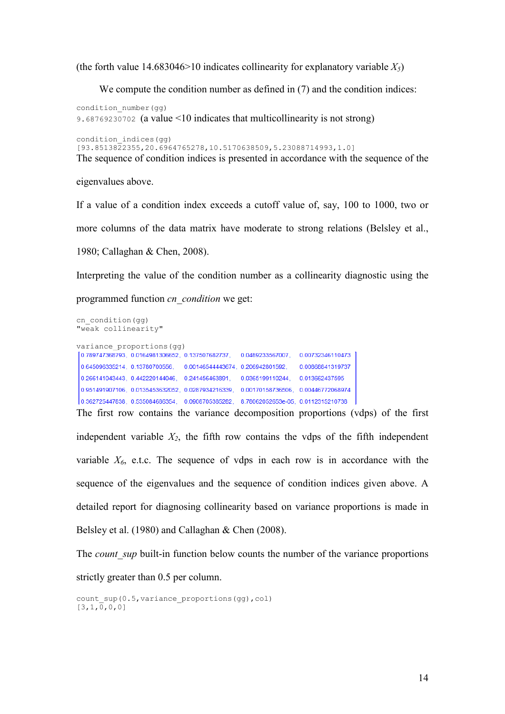(the forth value 14.683046>10 indicates collinearity for explanatory variable  $X_5$ )

We compute the condition number as defined in  $(7)$  and the condition indices:

condition number (qq) 9.68769230702 (a value <10 indicates that multicollinearity is not strong)

condition\_indices(gg)  $(93.8513822355, 20.6964765278, 10.5170638509, 5.23088714993, 1.01$ The sequence of condition indices is presented in accordance with the sequence of the

eigenvalues above.

If a value of a condition index exceeds a cutoff value of, say, 100 to 1000, two or more columns of the data matrix have moderate to strong relations (Belsley et al., 1980; Callaghan & Chen, 2008).

Interpreting the value of the condition number as a collinearity diagnostic using the

programmed function *cn* condition we get:

```
cn condition (qq)
"weak collinearity"
variance proportions (qq)
0.789747368793, 0.0164981306652, 0.137507682737,
                                              0.0489233567007, 0.00732346110473
 0.645096335214, 0.13780700556, 0.00146544443674, 0.206942801592, 0.00868841319737
 0.266141043443, 0.442220144046, 0.241456463891, 0.0365199110244, 0.013662437595
 0.951491907106, 0.0135453632052, 0.0287934216339, 0.00170158736506, 0.00446772068974
0.362725447838, 0.535084686354, 0.0908705385282, 8.78062052653e-05, 0.0112315210738
The first row contains the variance decomposition proportions (vdps) of the first
```
independent variable  $X_2$ , the fifth row contains the vdps of the fifth independent variable  $X_6$ , e.t.c. The sequence of vdps in each row is in accordance with the sequence of the eigenvalues and the sequence of condition indices given above. A detailed report for diagnosing collinearity based on variance proportions is made in Belsley et al. (1980) and Callaghan & Chen (2008).

The *count sup* built-in function below counts the number of the variance proportions strictly greater than 0.5 per column.

count sup (0.5, variance proportions (qq), col)  $[3, 1, 0, 0, 0]$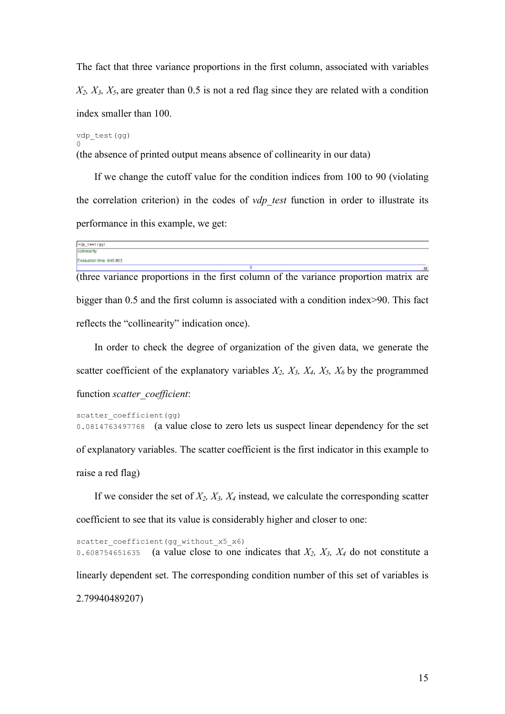The fact that three variance proportions in the first column, associated with variables  $X_2$ ,  $X_3$ ,  $X_5$ , are greater than 0.5 is not a red flag since they are related with a condition index smaller than 100.

vdp test (gg)

(the absence of printed output means absence of collinearity in our data)

If we change the cutoff value for the condition indices from 100 to 90 (violating the correlation criterion) in the codes of vdp test function in order to illustrate its performance in this example, we get:

| vdp_test(gg)             |   |
|--------------------------|---|
| collinearity             |   |
| Evaluation time: 649.963 |   |
|                          | M |

(three variance proportions in the first column of the variance proportion matrix are bigger than 0.5 and the first column is associated with a condition index>90. This fact reflects the "collinearity" indication once).

In order to check the degree of organization of the given data, we generate the scatter coefficient of the explanatory variables  $X_2$ ,  $X_3$ ,  $X_4$ ,  $X_5$ ,  $X_6$  by the programmed function scatter coefficient:

```
scatter coefficient (gg)
```
0.0814763497768 (a value close to zero lets us suspect linear dependency for the set of explanatory variables. The scatter coefficient is the first indicator in this example to raise a red flag)

If we consider the set of  $X_2$ ,  $X_3$ ,  $X_4$  instead, we calculate the corresponding scatter coefficient to see that its value is considerably higher and closer to one:

```
scatter coefficient (gg without x5 x6)
                 (a value close to one indicates that X_2, X_3, X_4 do not constitute a
0.608754651635
linearly dependent set. The corresponding condition number of this set of variables is
2.79940489207)
```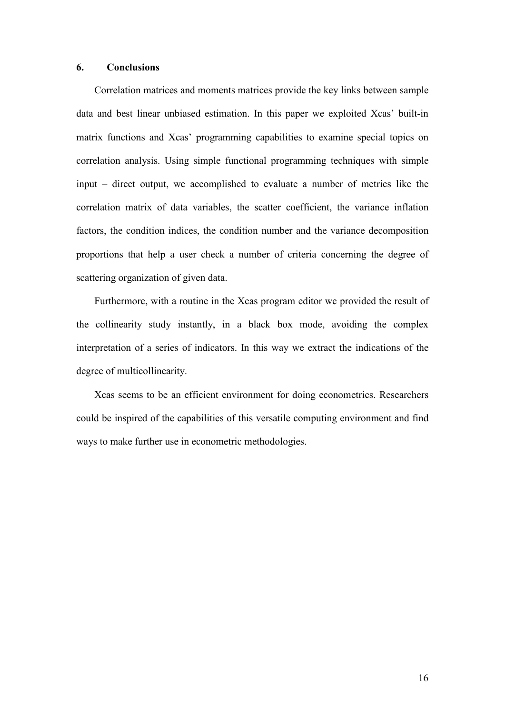#### **Conclusions** 6.

Correlation matrices and moments matrices provide the key links between sample data and best linear unbiased estimation. In this paper we exploited Xcas' built-in matrix functions and Xcas' programming capabilities to examine special topics on correlation analysis. Using simple functional programming techniques with simple input – direct output, we accomplished to evaluate a number of metrics like the correlation matrix of data variables, the scatter coefficient, the variance inflation factors, the condition indices, the condition number and the variance decomposition proportions that help a user check a number of criteria concerning the degree of scattering organization of given data.

Furthermore, with a routine in the Xcas program editor we provided the result of the collinearity study instantly, in a black box mode, avoiding the complex interpretation of a series of indicators. In this way we extract the indications of the degree of multicollinearity.

Xcas seems to be an efficient environment for doing econometrics. Researchers could be inspired of the capabilities of this versatile computing environment and find ways to make further use in econometric methodologies.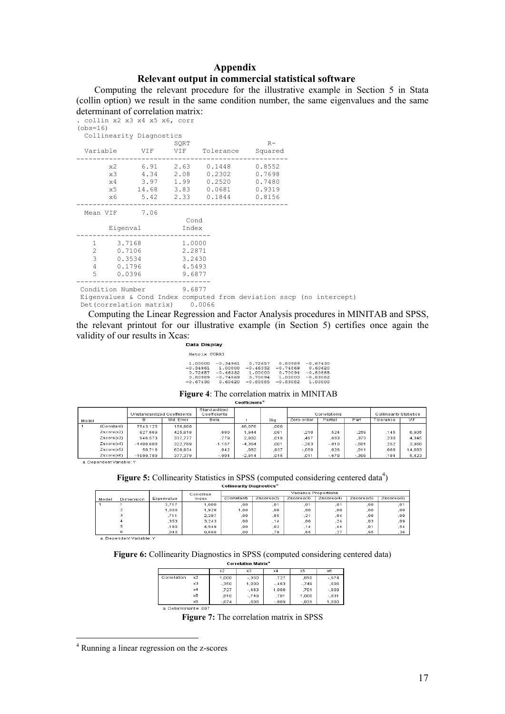## **Appendix** Relevant output in commercial statistical software

Computing the relevant procedure for the illustrative example in Section 5 in Stata (collin option) we result in the same condition number, the same eigenvalues and the same  $\overrightarrow{a}$  determinant of correlation matrix

| acici illilialle of correlation matrix.<br>. collin x2 x3 x4 x5 x6, corr<br>$(obs=16)$ |                                      |                                                |                                                                                                                                                     |      |  |
|----------------------------------------------------------------------------------------|--------------------------------------|------------------------------------------------|-----------------------------------------------------------------------------------------------------------------------------------------------------|------|--|
| Collinearity Diagnostics                                                               |                                      |                                                |                                                                                                                                                     |      |  |
|                                                                                        |                                      | SQRT                                           | Variable VIF VIF Tolerance Squared                                                                                                                  | $R-$ |  |
|                                                                                        |                                      |                                                | x2 6.91 2.63 0.1448 0.8552<br>x3 4.34 2.08 0.2302 0.7698<br>x4 3.97 1.99 0.2520 0.7480<br>x5 14.68 3.83 0.0681 0.9319<br>x6 5.42 2.33 0.1844 0.8156 |      |  |
| Mean VIF 7.06                                                                          | Eigenval                             | Cond<br>Index                                  |                                                                                                                                                     |      |  |
| $\mathbf{1}$<br>$\overline{c}$<br>3<br>4<br>5<br>0.0396                                | 3.7168<br>0.7106<br>0.3534<br>0.1796 | 1.0000<br>2.2871<br>3.2430<br>4.5493<br>9.6877 |                                                                                                                                                     |      |  |
| Condition Number 9.6877<br>Det(correlation matrix) 0.0066                              |                                      |                                                | Eigenvalues & Cond Index computed from deviation sscp (no intercept)                                                                                |      |  |

Computing the Linear Regression and Factor Analysis procedures in MINITAB and SPSS, the relevant printout for our illustrative example (in Section 5) certifies once again the validity of our results in Xcas:

| <b>Data Display</b> |
|---------------------|
|                     |

| Matrix CORR1 |            |            |            |                     |
|--------------|------------|------------|------------|---------------------|
| 1,00000      | $-0.34961$ | 0.72657    |            | $0.80989 - 0.67430$ |
| $-0.34961$   | 1.00000    | $-0.46332$ | $-0.74869$ | 0.60620             |
| 0.72657      | $-0.46332$ | 1,00000    | 0.70094    | $-0.80885$          |
| 0.80989      | $-0.74869$ | 0.70094    | 1,00000    | $-0.83082$          |
| $-0.67430$   | 0.60620    | $-0.80885$ | $-0.83082$ | 1.00000             |

Figure 4: The correlation matrix in MINITAB

|            | Unstandardized Coefficients |            | Standardized<br>Coefficients |          |      |            | Correlations |         | <b>Collinearity Statistics</b> |            |
|------------|-----------------------------|------------|------------------------------|----------|------|------------|--------------|---------|--------------------------------|------------|
| Model      | в                           | Std. Error | Beta                         |          | Sig. | Zero-order | Partial      | Part    | Tolerance                      | <b>VIF</b> |
| (Constant) | 7543.125                    | 156,900    |                              | 48.076   | .000 |            |              |         |                                |            |
| Zscore(x2) | 827,669                     | 425,818    | ,680                         | 1,944    | ,081 | .210       | .524         | 259     | .145                           | 6,905      |
| Zscore(x3) | 946,573                     | 337,777    | .778                         | 2,802    | .019 | .497       | .663         | .373    | .230                           | 4.345      |
| Zscore(x4) | $-1408.608$                 | 322.789    | $-1.157$                     | $-4.364$ | .001 | $-263$     | $-.810$      | $-.581$ | .252                           | 3.968      |
| Zscore(x5) | 50.716                      | 620.934    | .042                         | .082     | .937 | $-050$     | .026         | .011    | .068                           | 14.683     |
| Zscore(x6) | $-1099.789$                 | 377,379    | $-0.904$                     | $-2,914$ | .015 | .011       | $-.678$      | $-.388$ | 184                            | 5,423      |

Figure 5: Collinearity Statistics in SPSS (computed considering centered data<sup>4</sup>)

|       |           |            |           | Comnearity Diagnostics" |            |            |            |            |            |  |
|-------|-----------|------------|-----------|-------------------------|------------|------------|------------|------------|------------|--|
|       |           |            | Condition | Variance Proportions    |            |            |            |            |            |  |
| Model | Dimension | Eigenvalue | Index     | (Constant)              | Zscore(x2) | Zscore(x3) | Zscore(x4) | Zscore(x5) | Zscore(x6) |  |
|       |           | 3.717      | 1.000     | .00                     | .01        | .01        | .01        | .00        | .01        |  |
|       | ÷         | 1,000      | 1,928     | 1.00                    | ,00        | ,00        | .00        | ,00        | .00        |  |
|       | з         | .711       | 2.287     | .00                     | .05        | , 21       | .04        | .00        | .00        |  |
|       | 4         | .353       | 3,243     | .00                     | 14         | ,00        | , 24       | ,03        | ,09        |  |
|       | 5         | .180       | 4.549     | .00                     | .02        | .14        | .44        | .01        | .54        |  |
|       | 6         | 040        | 9,688     | 00                      | 79         | 65         | .27        | ,95        | .36        |  |
| $-$   | .         |            |           |                         |            |            |            |            |            |  |

a. Dependent Variable: Y

Figure 6: Collinearity Diagnostics in SPSS (computed considering centered data)

| <b>Correlation Matrix<sup>a</sup></b> |            |         |         |         |         |          |  |  |  |  |  |
|---------------------------------------|------------|---------|---------|---------|---------|----------|--|--|--|--|--|
|                                       |            | х2      | xЗ      | x4      | х5      | x6       |  |  |  |  |  |
| Correlation                           | x2         | 1,000   | $-.350$ | .727    | .810    | $-.674$  |  |  |  |  |  |
|                                       | xЗ         | $-.350$ | 1,000   | $-.463$ | $-.749$ | .606     |  |  |  |  |  |
|                                       | $\times 4$ | .727    | $-.463$ | 1.000   | .701    | $-0.809$ |  |  |  |  |  |
|                                       | x5         | .810    | $-.749$ | .701    | 1.000   | $-.831$  |  |  |  |  |  |
|                                       | x6         | $-.674$ | .606    | $-.809$ | $-.831$ | 1,000    |  |  |  |  |  |
| o Determinant- 007                    |            |         |         |         |         |          |  |  |  |  |  |

Figure 7: The correlation matrix in SPSS

<sup>&</sup>lt;sup>4</sup> Running a linear regression on the z-scores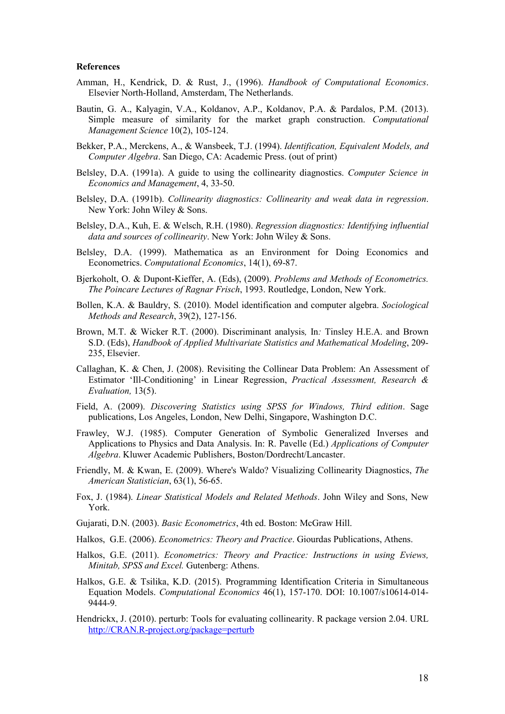### **References**

- Amman, H., Kendrick, D. & Rust, J., (1996). Handbook of Computational Economics. Elsevier North-Holland, Amsterdam, The Netherlands.
- Bautin, G. A., Kalyagin, V.A., Koldanov, A.P., Koldanov, P.A. & Pardalos, P.M. (2013). Simple measure of similarity for the market graph construction. Computational Management Science 10(2), 105-124.
- Bekker, P.A., Merckens, A., & Wansbeek, T.J. (1994). Identification, Equivalent Models, and Computer Algebra. San Diego, CA: Academic Press. (out of print)
- Belsley, D.A. (1991a). A guide to using the collinearity diagnostics. Computer Science in Economics and Management, 4, 33-50.
- Belsley, D.A. (1991b). Collinearity diagnostics: Collinearity and weak data in regression. New York: John Wiley & Sons.
- Belsley, D.A., Kuh, E. & Welsch, R.H. (1980). Regression diagnostics: Identifying influential data and sources of collinearity. New York: John Wiley & Sons.
- Belsley, D.A. (1999). Mathematica as an Environment for Doing Economics and Econometrics. Computational Economics, 14(1), 69-87.
- Bjerkoholt, O. & Dupont-Kieffer, A. (Eds), (2009). Problems and Methods of Econometrics. The Poincare Lectures of Ragnar Frisch, 1993. Routledge, London, New York.
- Bollen, K.A. & Bauldry, S. (2010). Model identification and computer algebra. Sociological Methods and Research, 39(2), 127-156.
- Brown, M.T. & Wicker R.T. (2000). Discriminant analysis, In: Tinsley H.E.A. and Brown S.D. (Eds), Handbook of Applied Multivariate Statistics and Mathematical Modeling, 209-235, Elsevier.
- Callaghan, K. & Chen, J. (2008). Revisiting the Collinear Data Problem: An Assessment of Estimator 'Ill-Conditioning' in Linear Regression, Practical Assessment, Research & Evaluation, 13(5).
- Field, A. (2009). Discovering Statistics using SPSS for Windows, Third edition. Sage publications, Los Angeles, London, New Delhi, Singapore, Washington D.C.
- Frawley, W.J. (1985). Computer Generation of Symbolic Generalized Inverses and Applications to Physics and Data Analysis. In: R. Pavelle (Ed.) Applications of Computer Algebra. Kluwer Academic Publishers, Boston/Dordrecht/Lancaster.
- Friendly, M. & Kwan, E. (2009). Where's Waldo? Visualizing Collinearity Diagnostics, The American Statistician, 63(1), 56-65.
- Fox, J. (1984). *Linear Statistical Models and Related Methods*. John Wiley and Sons. New York.
- Gujarati, D.N. (2003). Basic Econometrics, 4th ed. Boston: McGraw Hill.
- Halkos, G.E. (2006). *Econometrics: Theory and Practice*. Giourdas Publications, Athens.
- Halkos, G.E. (2011). Econometrics: Theory and Practice: Instructions in using Eviews, Minitab, SPSS and Excel. Gutenberg: Athens.
- Halkos, G.E. & Tsilika, K.D. (2015). Programming Identification Criteria in Simultaneous Equation Models. Computational Economics 46(1), 157-170. DOI: 10.1007/s10614-014-9444-9
- Hendrickx, J. (2010), perturb: Tools for evaluating collinearity. R package version 2.04, URL http://CRAN.R-project.org/package=perturb